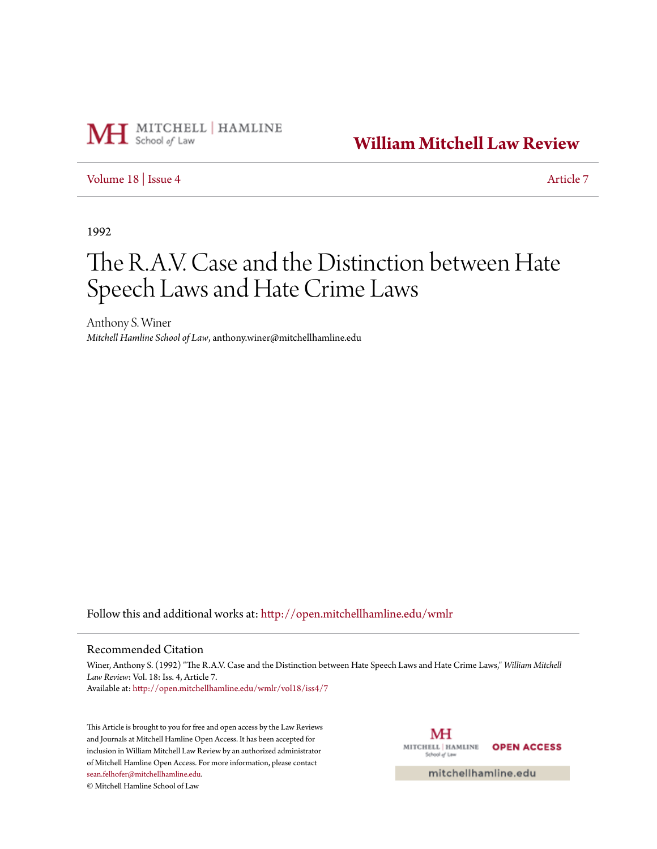

**[William Mitchell Law Review](http://open.mitchellhamline.edu/wmlr?utm_source=open.mitchellhamline.edu%2Fwmlr%2Fvol18%2Fiss4%2F7&utm_medium=PDF&utm_campaign=PDFCoverPages)**

## [Volume 18](http://open.mitchellhamline.edu/wmlr/vol18?utm_source=open.mitchellhamline.edu%2Fwmlr%2Fvol18%2Fiss4%2F7&utm_medium=PDF&utm_campaign=PDFCoverPages) | [Issue 4](http://open.mitchellhamline.edu/wmlr/vol18/iss4?utm_source=open.mitchellhamline.edu%2Fwmlr%2Fvol18%2Fiss4%2F7&utm_medium=PDF&utm_campaign=PDFCoverPages) [Article 7](http://open.mitchellhamline.edu/wmlr/vol18/iss4/7?utm_source=open.mitchellhamline.edu%2Fwmlr%2Fvol18%2Fiss4%2F7&utm_medium=PDF&utm_campaign=PDFCoverPages)

1992

# The R.A.V. Case and the Distinction between Hate Speech Laws and Hate Crime Laws

Anthony S. Winer *Mitchell Hamline School of Law*, anthony.winer@mitchellhamline.edu

Follow this and additional works at: [http://open.mitchellhamline.edu/wmlr](http://open.mitchellhamline.edu/wmlr?utm_source=open.mitchellhamline.edu%2Fwmlr%2Fvol18%2Fiss4%2F7&utm_medium=PDF&utm_campaign=PDFCoverPages)

#### Recommended Citation

Winer, Anthony S. (1992) "The R.A.V. Case and the Distinction between Hate Speech Laws and Hate Crime Laws," *William Mitchell Law Review*: Vol. 18: Iss. 4, Article 7. Available at: [http://open.mitchellhamline.edu/wmlr/vol18/iss4/7](http://open.mitchellhamline.edu/wmlr/vol18/iss4/7?utm_source=open.mitchellhamline.edu%2Fwmlr%2Fvol18%2Fiss4%2F7&utm_medium=PDF&utm_campaign=PDFCoverPages)

This Article is brought to you for free and open access by the Law Reviews and Journals at Mitchell Hamline Open Access. It has been accepted for inclusion in William Mitchell Law Review by an authorized administrator of Mitchell Hamline Open Access. For more information, please contact [sean.felhofer@mitchellhamline.edu](mailto:sean.felhofer@mitchellhamline.edu).

© Mitchell Hamline School of Law

MH MITCHELL | HAMLINE **OPEN ACCESS** School of Law

mitchellhamline.edu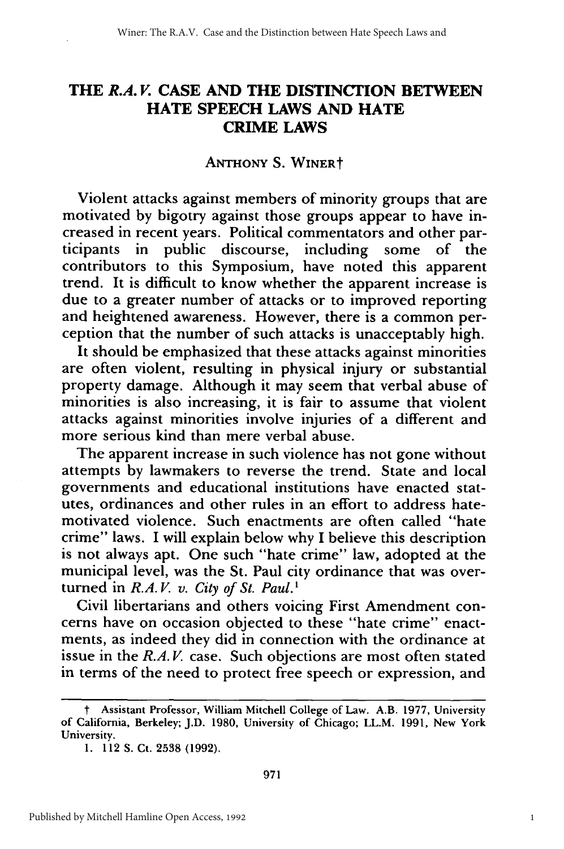## **THE** *R.A. V.* **CASE AND THE DISTINCTION BETWEEN HATE SPEECH LAWS AND HATE CRIME LAWS**

#### **ANTHONY S.** WINERt

Violent attacks against members of minority groups that are motivated by bigotry against those groups appear to have increased in recent years. Political commentators and other participants in public discourse, including some of the contributors to this Symposium, have noted this apparent trend. It is difficult to know whether the apparent increase is due to a greater number of attacks or to improved reporting and heightened awareness. However, there is a common perception that the number of such attacks is unacceptably high.

It should be emphasized that these attacks against minorities are often violent, resulting in physical injury or substantial property damage. Although it may seem that verbal abuse of minorities is also increasing, it is fair to assume that violent attacks against minorities involve injuries of a different and more serious kind than mere verbal abuse.

The apparent increase in such violence has not gone without attempts by lawmakers to reverse the trend. State and local governments and educational institutions have enacted statutes, ordinances and other rules in an effort to address hatemotivated violence. Such enactments are often called "hate crime" laws. I will explain below why I believe this description is not always apt. One such "hate crime" law, adopted at the municipal level, was the St. Paul city ordinance that was overturned in *R.A.V. v. City of St. Paul.*<sup>1</sup>

Civil libertarians and others voicing First Amendment concerns have on occasion objected to these "hate crime" enactments, as indeed they did in connection with the ordinance at issue in the *R.A.V.* case. Such objections are most often stated in terms of the need to protect free speech or expression, and

t Assistant Professor, William Mitchell College of Law. A.B. 1977, University of California, Berkeley; J.D. 1980, University of Chicago; LL.M. 1991, New York University.

<sup>1. 112</sup> S. Ct. 2538 (1992).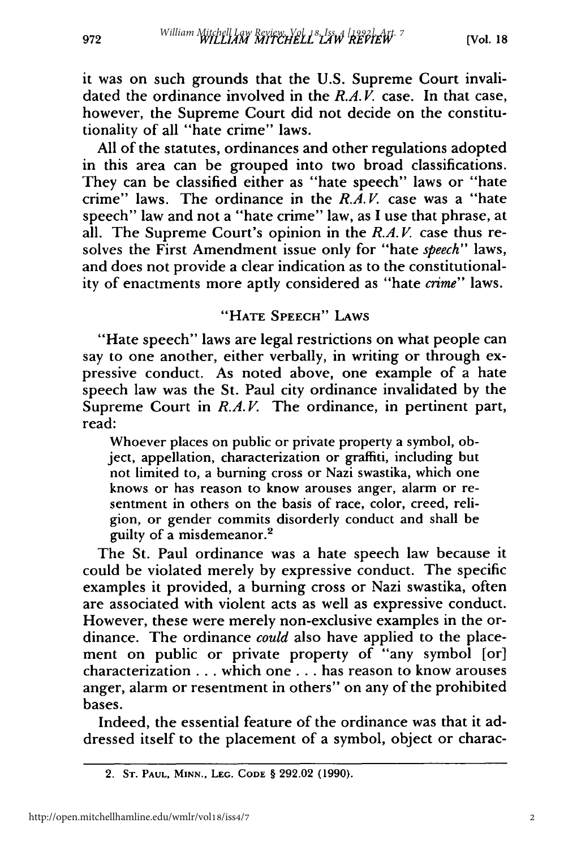972

it was on such grounds that the U.S. Supreme Court invalidated the ordinance involved in the *R.A.V.* case. In that case, however, the Supreme Court did not decide on the constitutionality of all "hate crime" laws.

All of the statutes, ordinances and other regulations adopted in this area can be grouped into two broad classifications. They can be classified either as "hate speech" laws or "hate crime" laws. The ordinance in the *R.A.V.* case was a "hate speech" law and not a "hate crime" law, as I use that phrase, at all. The Supreme Court's opinion in the *R.A.V*. case thus resolves the First Amendment issue only for "hate *speech"* laws, and does not provide a clear indication as to the constitutionality of enactments more aptly considered as "hate *crime"* laws.

## **"HATE SPEECH"** LAWS

"Hate speech" laws are legal restrictions on what people can say to one another, either verbally, in writing or through expressive conduct. As noted above, one example of a hate speech law was the St. Paul city ordinance invalidated by the Supreme Court in *R.A.V.* The ordinance, in pertinent part, read:

Whoever places on public or private property a symbol, object, appellation, characterization or graffiti, including but not limited to, a burning cross or Nazi swastika, which one knows or has reason to know arouses anger, alarm or resentment in others on the basis of race, color, creed, religion, or gender commits disorderly conduct and shall be guilty of a misdemeanor.<sup>2</sup>

The St. Paul ordinance was a hate speech law because it could be violated merely by expressive conduct. The specific examples it provided, a burning cross or Nazi swastika, often are associated with violent acts as well as expressive conduct. However, these were merely non-exclusive examples in the ordinance. The ordinance *could* also have applied to the placement on public or private property of "any symbol [or] characterization **...** which one **...** has reason to know arouses anger, alarm or resentment in others" on any of the prohibited bases.

Indeed, the essential feature of the ordinance was that it addressed itself to the placement of a symbol, object or charac-

<sup>2.</sup> **ST. PAUL, MINN., LEG. CODE** § **292.02 (1990).**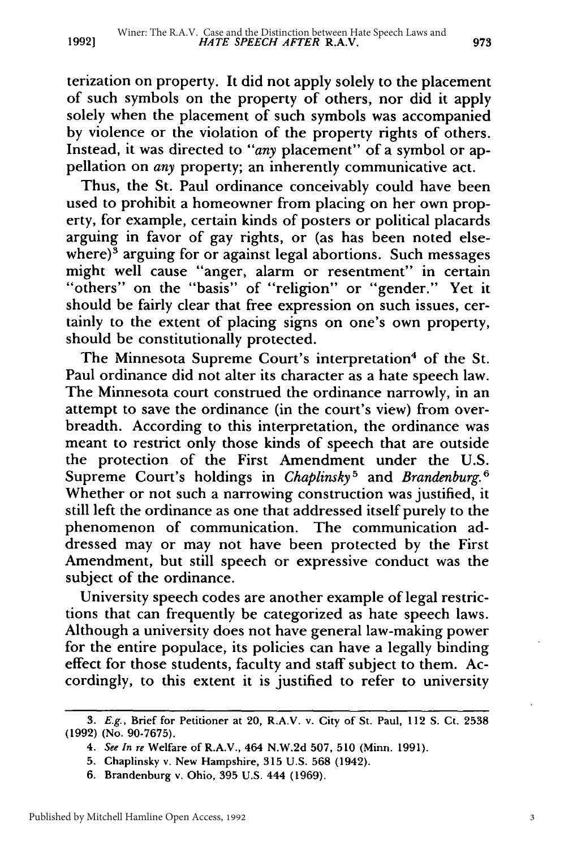terization on property. It did not apply solely to the placement of such symbols on the property of others, nor did it apply solely when the placement of such symbols was accompanied by violence or the violation of the property rights of others. Instead, it was directed to *"any* placement" of a symbol or appellation on *any* property; an inherently communicative act.

Thus, the St. Paul ordinance conceivably could have been used to prohibit a homeowner from placing on her own property, for example, certain kinds of posters or political placards arguing in favor of gay rights, or (as has been noted elsewhere) $3$  arguing for or against legal abortions. Such messages might well cause "anger, alarm or resentment" in certain "others" on the "basis" of "religion" or "gender." Yet it should be fairly clear that free expression on such issues, certainly to the extent of placing signs on one's own property, should be constitutionally protected.

The Minnesota Supreme Court's interpretation<sup>4</sup> of the St. Paul ordinance did not alter its character as a hate speech law. The Minnesota court construed the ordinance narrowly, in an attempt to save the ordinance (in the court's view) from overbreadth. According to this interpretation, the ordinance was meant to restrict only those kinds of speech that are outside the protection of the First Amendment under the U.S. Supreme Court's holdings in *Chaplinsky5* and *Brandenburg.6* Whether or not such a narrowing construction was justified, it still left the ordinance as one that addressed itself purely to the phenomenon of communication. The communication addressed may or may not have been protected by the First Amendment, but still speech or expressive conduct was the subject of the ordinance.

University speech codes are another example of legal restrictions that can frequently be categorized as hate speech laws. Although a university does not have general law-making power for the entire populace, its policies can have a legally binding effect for those students, faculty and staff subject to them. Accordingly, to this extent it is justified to refer to university

3

*<sup>3.</sup> E.g.,* Brief for Petitioner at 20, R.A.V. v. City of St. Paul, 112 **S.** Ct. 2538 (1992) (No. 90-7675).

*<sup>4.</sup> See In re* Welfare of R.A.V., 464 N.W.2d 507, 510 (Minn. 1991).

<sup>5.</sup> Chaplinsky v. New Hampshire, 315 U.S. 568 (1942).

<sup>6.</sup> Brandenburg v. Ohio, 395 U.S. 444 (1969).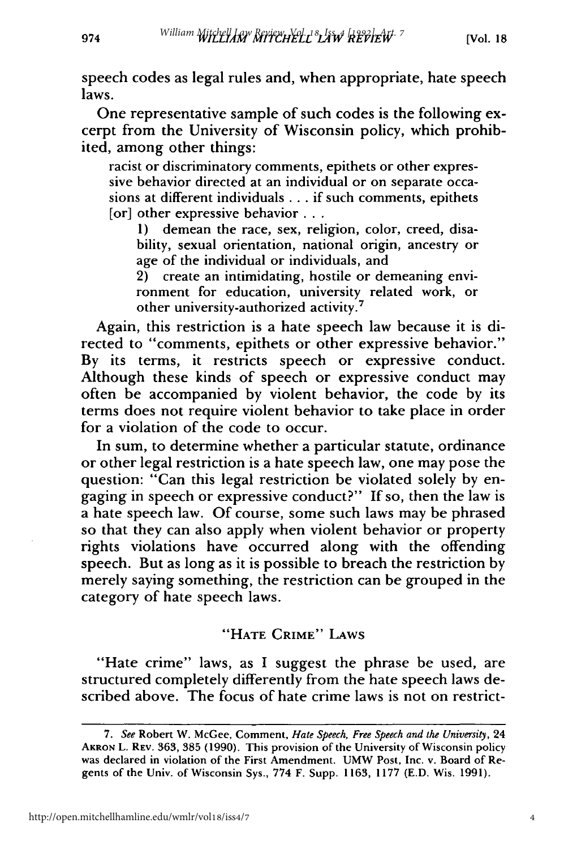974

speech codes as legal rules and, when appropriate, hate speech laws.

One representative sample of such codes is the following excerpt from the University of Wisconsin policy, which prohibited, among other things:

racist or discriminatory comments, epithets or other expressive behavior directed at an individual or on separate occasions at different individuals **...** if such comments, epithets [or] other expressive behavior **...**

1) demean the race, sex, religion, color, creed, disability, sexual orientation, national origin, ancestry or age of the individual or individuals, and

2) create an intimidating, hostile or demeaning environment for education, university related work, or other university-authorized activity.7

Again, this restriction is a hate speech law because it is directed to "comments, epithets or other expressive behavior." By its terms, it restricts speech or expressive conduct. Although these kinds of speech or expressive conduct may often be accompanied by violent behavior, the code by its terms does not require violent behavior to take place in order for a violation of the code to occur.

In sum, to determine whether a particular statute, ordinance or other legal restriction is a hate speech law, one may pose the question: "Can this legal restriction be violated solely by engaging in speech or expressive conduct?" If so, then the law is a hate speech law. Of course, some such laws may be phrased so that they can also apply when violent behavior or property rights violations have occurred along with the offending speech. But as long as it is possible to breach the restriction by merely saying something, the restriction can be grouped in the category of hate speech laws.

## "HATE CRIME" LAWS

"Hate crime" laws, as **I** suggest the phrase be used, are structured completely differently from the hate speech laws described above. The focus of hate crime laws is not on restrict-

*<sup>7.</sup> See* Robert W. McGee, Comment, *Hate Speech, Free Speech and the University,* 24 AKRON L. REV. 363, 385 (1990). This provision of the University of Wisconsin policy was declared in violation of the First Amendment. UMW Post, Inc. v. Board of Regents of the Univ. of Wisconsin Sys., 774 F. Supp. 1163, 1177 (E.D. Wis. 1991).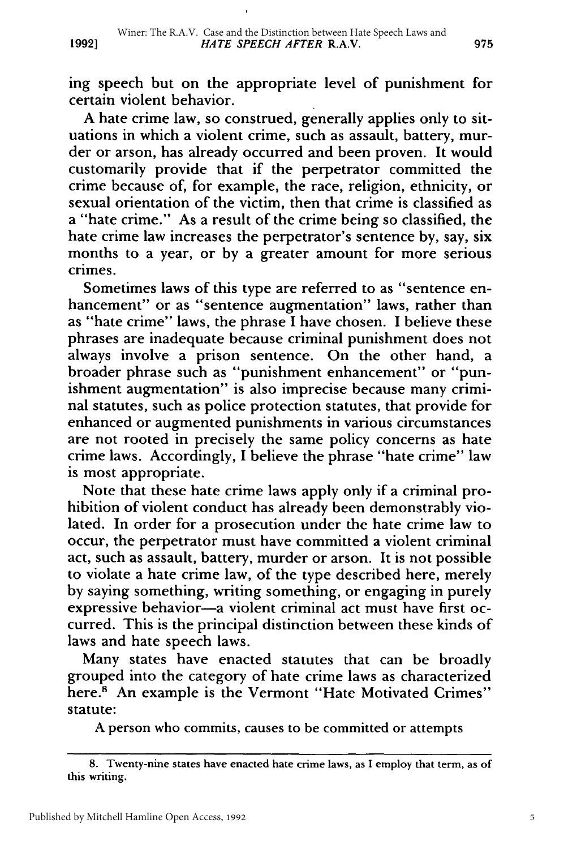ing speech but on the appropriate level of punishment for certain violent behavior.

A hate crime law, so construed, generally applies only to situations in which a violent crime, such as assault, battery, murder or arson, has already occurred and been proven. It would customarily provide that if the perpetrator committed the crime because of, for example, the race, religion, ethnicity, or sexual orientation of the victim, then that crime is classified as a "hate crime." As a result of the crime being so classified, the hate crime law increases the perpetrator's sentence by, say, six months to a year, or by a greater amount for more serious crimes.

Sometimes laws of this type are referred to as "sentence enhancement" or as "sentence augmentation" laws, rather than as "hate crime" laws, the phrase I have chosen. I believe these phrases are inadequate because criminal punishment does not always involve a prison sentence. On the other hand, a broader phrase such as "punishment enhancement" or "punishment augmentation" is also imprecise because many criminal statutes, such as police protection statutes, that provide for enhanced or augmented punishments in various circumstances are not rooted in precisely the same policy concerns as hate crime laws. Accordingly, I believe the phrase "hate crime" law is most appropriate.

Note that these hate crime laws apply only if a criminal prohibition of violent conduct has already been demonstrably violated. In order for a prosecution under the hate crime law to occur, the perpetrator must have committed a violent criminal act, such as assault, battery, murder or arson. It is not possible to violate a hate crime law, of the type described here, merely by saying something, writing something, or engaging in purely expressive behavior-a violent criminal act must have first occurred. This is the principal distinction between these kinds of laws and hate speech laws.

Many states have enacted statutes that can be broadly grouped into the category of hate crime laws as characterized here.<sup>8</sup> An example is the Vermont "Hate Motivated Crimes" statute:

A person who commits, causes to be committed or attempts

<sup>8.</sup> Twenty-nine states have enacted hate crime laws, as I employ that term, as of this writing.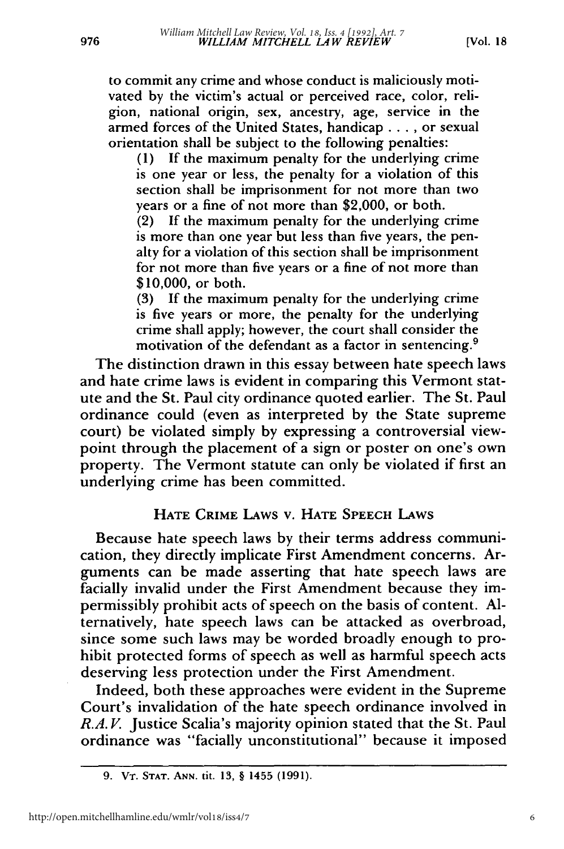976

to commit any crime and whose conduct is maliciously motivated by the victim's actual or perceived race, color, religion, national origin, sex, ancestry, age, service in the armed forces of the United States, handicap .... or sexual orientation shall be subject to the following penalties:

(1) If the maximum penalty for the underlying crime is one year or less, the penalty for a violation of this section shall be imprisonment for not more than two years or a fine of not more than \$2,000, or both.

(2) If the maximum penalty for the underlying crime is more than one year but less than five years, the penalty for a violation of this section shall be imprisonment for not more than five years or a fine of not more than \$10,000, or both.

**(3)** If the maximum penalty for the underlying crime is five years or more, the penalty for the underlying crime shall apply; however, the court shall consider the motivation of the defendant as a factor in sentencing. <sup>9</sup>

The distinction drawn in this essay between hate speech laws and hate crime laws is evident in comparing this Vermont statute and the St. Paul city ordinance quoted earlier. The St. Paul ordinance could (even as interpreted by the State supreme court) be violated simply by expressing a controversial viewpoint through the placement of a sign or poster on one's own property. The Vermont statute can only be violated if first an underlying crime has been committed.

## **HATE CRIME** LAws v. **HATE SPEECH** LAws

Because hate speech laws **by** their terms address communication, they directly implicate First Amendment concerns. Arguments can be made asserting that hate speech laws are facially invalid under the First Amendment because they impermissibly prohibit acts of speech on the basis of content. **Al**ternatively, hate speech laws can be attacked as overbroad, since some such laws may be worded broadly enough to prohibit protected forms of speech as well as harmful speech acts deserving less protection under the First Amendment.

Indeed, both these approaches were evident in the Supreme Court's invalidation of the hate speech ordinance involved in *R.A.V.* Justice Scalia's majority opinion stated that the St. Paul ordinance was "facially unconstitutional" because it imposed

**<sup>9.</sup> VT. STAT. ANN.** tit. **13, § 1455 (1991).**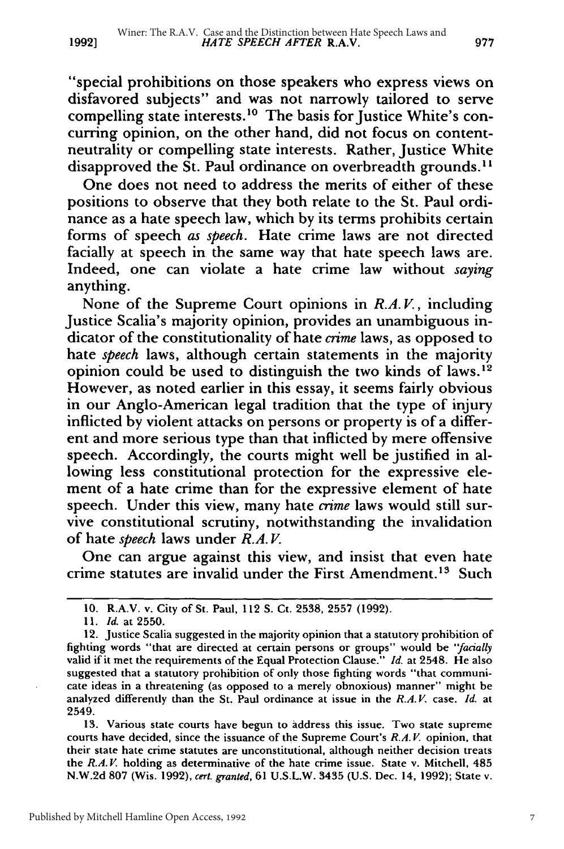"special prohibitions on those speakers who express views on disfavored subjects" and was not narrowly tailored to serve compelling state interests.<sup>10</sup> The basis for Justice White's concurring opinion, on the other hand, did not focus on contentneutrality or compelling state interests. Rather, Justice White disapproved the St. Paul ordinance on overbreadth grounds.<sup>11</sup>

One does not need to address the merits of either of these positions to observe that they both relate to the St. Paul ordinance as a hate speech law, which by its terms prohibits certain forms of speech *as speech.* Hate crime laws are not directed facially at speech in the same way that hate speech laws are. Indeed, one can violate a hate crime law without *saying* anything.

None of the Supreme Court opinions in *R.A. V,* including Justice Scalia's majority opinion, provides an unambiguous indicator of the constitutionality of hate *crime* laws, as opposed to hate *speech* laws, although certain statements in the majority opinion could be used to distinguish the two kinds of laws. $12$ However, as noted earlier in this essay, it seems fairly obvious in our Anglo-American legal tradition that the type of injury inflicted by violent attacks on persons or property is of a different and more serious type than that inflicted by mere offensive speech. Accordingly, the courts might well be justified in allowing less constitutional protection for the expressive element of a hate crime than for the expressive element of hate speech. Under this view, many hate *crime* laws would still survive constitutional scrutiny, notwithstanding the invalidation of hate *speech* laws under *R.A. V.*

One can argue against this view, and insist that even hate crime statutes are invalid under the First Amendment.<sup>13</sup> Such

13. Various state courts have begun to address this issue. Two state supreme courts have decided, since the issuance of the Supreme Court's *R.A. V.* opinion, that their state hate crime statutes are unconstitutional, although neither decision treats the *R.A. V* holding as determinative of the hate crime issue. State v. Mitchell, 485 N.W.2d 807 (Wis. 1992), *cert. granted,* 61 U.S.L.W. 3435 (U.S. Dec. 14, 1992); State v.

<sup>10.</sup> R.A.V. v. City of St. Paul, 112 S. Ct. 2538, 2557 (1992).

*<sup>11.</sup> Id.* at 2550.

<sup>12.</sup> Justice Scalia suggested in the majority opinion that a statutory prohibition of fighting words "that are directed at certain persons or groups" would be *"facially* valid if it met the requirements of the Equal Protection Clause." *Id.* at 2548. He also suggested that a statutory prohibition of only those fighting words "that communicate ideas in a threatening (as opposed to a merely obnoxious) manner" might be analyzed differently than the St. Paul ordinance at issue in the *R.A. V* case. *Id.* at 2549.